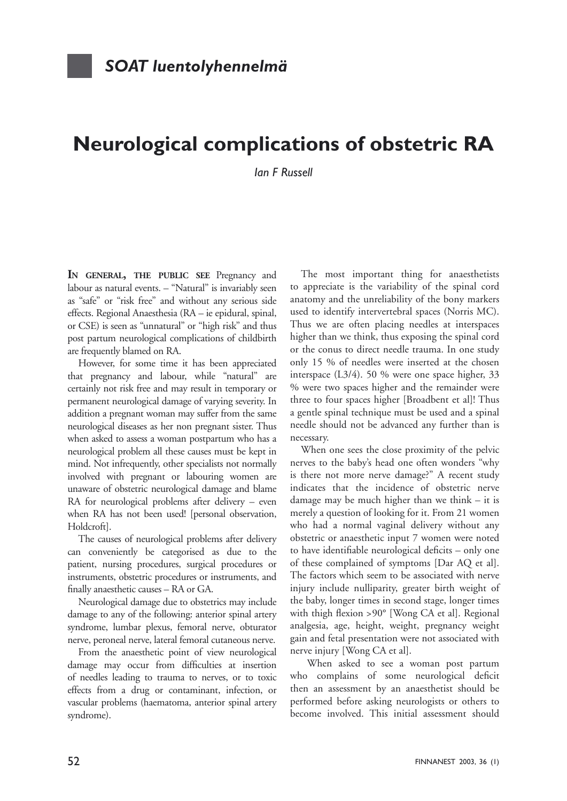## **Neurological complications of obstetric RA**

*Ian F Russell*

**IN GENERAL, THE PUBLIC SEE** Pregnancy and labour as natural events. – "Natural" is invariably seen as "safe" or "risk free" and without any serious side effects. Regional Anaesthesia (RA – ie epidural, spinal, or CSE) is seen as "unnatural" or "high risk" and thus post partum neurological complications of childbirth are frequently blamed on RA.

However, for some time it has been appreciated that pregnancy and labour, while "natural" are certainly not risk free and may result in temporary or permanent neurological damage of varying severity. In addition a pregnant woman may suffer from the same neurological diseases as her non pregnant sister. Thus when asked to assess a woman postpartum who has a neurological problem all these causes must be kept in mind. Not infrequently, other specialists not normally involved with pregnant or labouring women are unaware of obstetric neurological damage and blame RA for neurological problems after delivery – even when RA has not been used! [personal observation, Holdcroft].

The causes of neurological problems after delivery can conveniently be categorised as due to the patient, nursing procedures, surgical procedures or instruments, obstetric procedures or instruments, and finally anaesthetic causes – RA or GA.

Neurological damage due to obstetrics may include damage to any of the following: anterior spinal artery syndrome, lumbar plexus, femoral nerve, obturator nerve, peroneal nerve, lateral femoral cutaneous nerve.

From the anaesthetic point of view neurological damage may occur from difficulties at insertion of needles leading to trauma to nerves, or to toxic effects from a drug or contaminant, infection, or vascular problems (haematoma, anterior spinal artery syndrome).

The most important thing for anaesthetists to appreciate is the variability of the spinal cord anatomy and the unreliability of the bony markers used to identify intervertebral spaces (Norris MC). Thus we are often placing needles at interspaces higher than we think, thus exposing the spinal cord or the conus to direct needle trauma. In one study only 15 % of needles were inserted at the chosen interspace (L3/4). 50 % were one space higher, 33 % were two spaces higher and the remainder were three to four spaces higher [Broadbent et al]! Thus a gentle spinal technique must be used and a spinal needle should not be advanced any further than is necessary.

When one sees the close proximity of the pelvic nerves to the baby's head one often wonders "why is there not more nerve damage?" A recent study indicates that the incidence of obstetric nerve damage may be much higher than we think – it is merely a question of looking for it. From 21 women who had a normal vaginal delivery without any obstetric or anaesthetic input 7 women were noted to have identifiable neurological deficits – only one of these complained of symptoms [Dar AQ et al]. The factors which seem to be associated with nerve injury include nulliparity, greater birth weight of the baby, longer times in second stage, longer times with thigh flexion > 90° [Wong CA et al]. Regional analgesia, age, height, weight, pregnancy weight gain and fetal presentation were not associated with nerve injury [Wong CA et al].

 When asked to see a woman post partum who complains of some neurological deficit then an assessment by an anaesthetist should be performed before asking neurologists or others to become involved. This initial assessment should